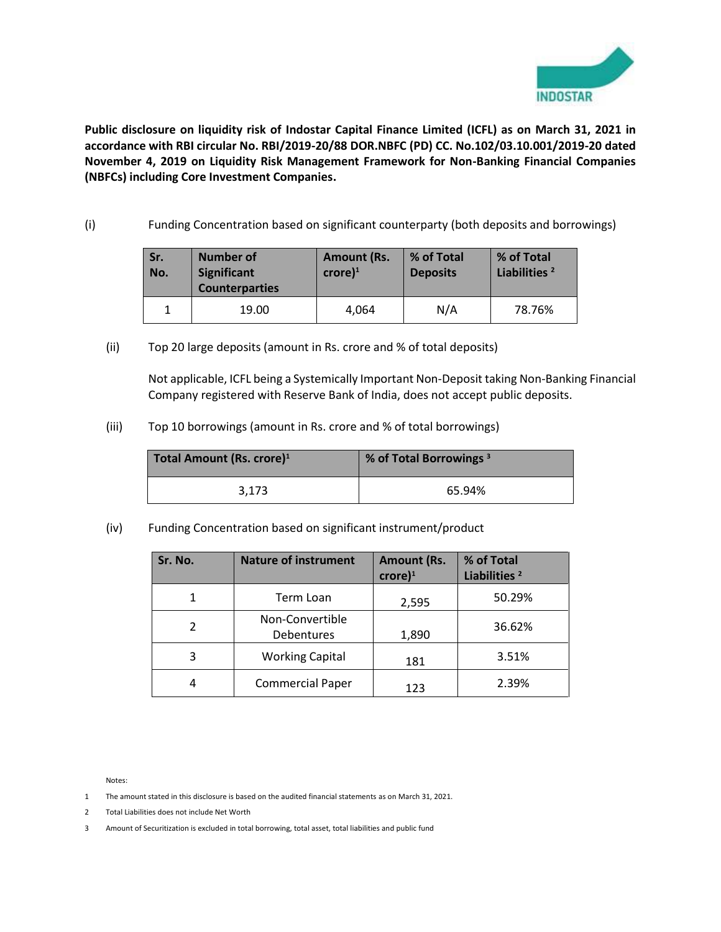

**Public disclosure on liquidity risk of Indostar Capital Finance Limited (ICFL) as on March 31, 2021 in accordance with RBI circular No. RBI/2019-20/88 DOR.NBFC (PD) CC. No.102/03.10.001/2019-20 dated November 4, 2019 on Liquidity Risk Management Framework for Non-Banking Financial Companies (NBFCs) including Core Investment Companies.** 

(i) Funding Concentration based on significant counterparty (both deposits and borrowings)

| Sr.<br>No. | <b>Number of</b><br><b>Significant</b><br><b>Counterparties</b> | <b>Amount (Rs.</b><br>$core)^1$ | % of Total<br><b>Deposits</b> | % of Total<br>Liabilities <sup>2</sup> |
|------------|-----------------------------------------------------------------|---------------------------------|-------------------------------|----------------------------------------|
|            | 19.00                                                           | 4.064                           | N/A                           | 78.76%                                 |

(ii) Top 20 large deposits (amount in Rs. crore and % of total deposits)

Not applicable, ICFL being a Systemically Important Non-Deposit taking Non-Banking Financial Company registered with Reserve Bank of India, does not accept public deposits.

(iii) Top 10 borrowings (amount in Rs. crore and % of total borrowings)

| Total Amount (Rs. crore) <sup>1</sup> | % of Total Borrowings <sup>3</sup> |
|---------------------------------------|------------------------------------|
| 3.173                                 | 65.94%                             |

(iv) Funding Concentration based on significant instrument/product

| Sr. No. | <b>Nature of instrument</b>   | <b>Amount (Rs.</b><br>$\text{core}$ <sup>1</sup> | % of Total<br>Liabilities <sup>2</sup> |
|---------|-------------------------------|--------------------------------------------------|----------------------------------------|
|         | Term Loan                     | 2,595                                            | 50.29%                                 |
|         | Non-Convertible<br>Debentures | 1,890                                            | 36.62%                                 |
| 3       | <b>Working Capital</b>        | 181                                              | 3.51%                                  |
|         | <b>Commercial Paper</b>       | 123                                              | 2.39%                                  |

Notes:

- 1 The amount stated in this disclosure is based on the audited financial statements as on March 31, 2021.
- 2 Total Liabilities does not include Net Worth
- 3 Amount of Securitization is excluded in total borrowing, total asset, total liabilities and public fund